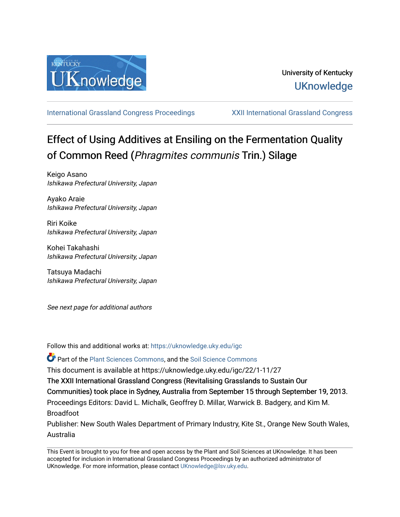

[International Grassland Congress Proceedings](https://uknowledge.uky.edu/igc) [XXII International Grassland Congress](https://uknowledge.uky.edu/igc/22) 

# Effect of Using Additives at Ensiling on the Fermentation Quality of Common Reed (Phragmites communis Trin.) Silage

Keigo Asano Ishikawa Prefectural University, Japan

Ayako Araie Ishikawa Prefectural University, Japan

Riri Koike Ishikawa Prefectural University, Japan

Kohei Takahashi Ishikawa Prefectural University, Japan

Tatsuya Madachi Ishikawa Prefectural University, Japan

See next page for additional authors

Follow this and additional works at: [https://uknowledge.uky.edu/igc](https://uknowledge.uky.edu/igc?utm_source=uknowledge.uky.edu%2Figc%2F22%2F1-11%2F27&utm_medium=PDF&utm_campaign=PDFCoverPages) 

Part of the [Plant Sciences Commons](http://network.bepress.com/hgg/discipline/102?utm_source=uknowledge.uky.edu%2Figc%2F22%2F1-11%2F27&utm_medium=PDF&utm_campaign=PDFCoverPages), and the [Soil Science Commons](http://network.bepress.com/hgg/discipline/163?utm_source=uknowledge.uky.edu%2Figc%2F22%2F1-11%2F27&utm_medium=PDF&utm_campaign=PDFCoverPages) 

This document is available at https://uknowledge.uky.edu/igc/22/1-11/27

The XXII International Grassland Congress (Revitalising Grasslands to Sustain Our

Communities) took place in Sydney, Australia from September 15 through September 19, 2013.

Proceedings Editors: David L. Michalk, Geoffrey D. Millar, Warwick B. Badgery, and Kim M. Broadfoot

Publisher: New South Wales Department of Primary Industry, Kite St., Orange New South Wales, Australia

This Event is brought to you for free and open access by the Plant and Soil Sciences at UKnowledge. It has been accepted for inclusion in International Grassland Congress Proceedings by an authorized administrator of UKnowledge. For more information, please contact [UKnowledge@lsv.uky.edu](mailto:UKnowledge@lsv.uky.edu).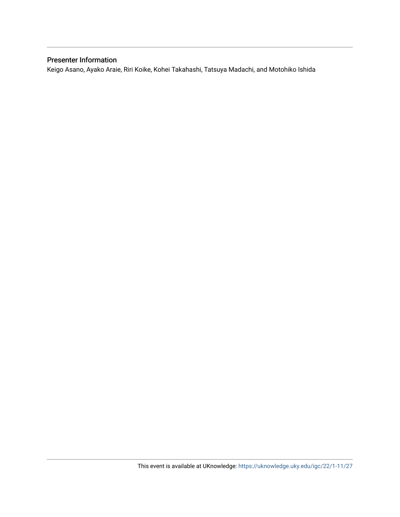### Presenter Information

Keigo Asano, Ayako Araie, Riri Koike, Kohei Takahashi, Tatsuya Madachi, and Motohiko Ishida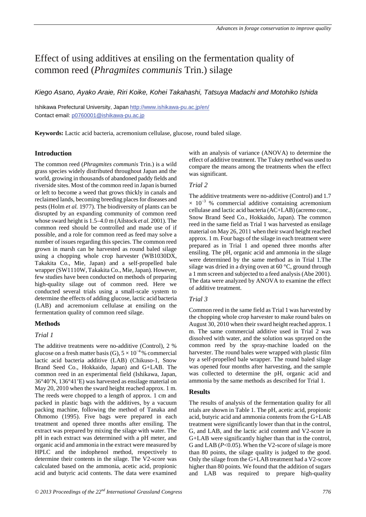## Effect of using additives at ensiling on the fermentation quality of common reed (*Phragmites communis* Trin.) silage

*Kiego Asano, Ayako Araie, Riri Koike, Kohei Takahashi, Tatsuya Madachi and Motohiko Ishida*

Ishikawa Prefectural University, Japan http://www.ishikawa-pu.ac.jp/en/ Contact email: p0760001@ishikawa-pu.ac.jp

**Keywords:** Lactic acid bacteria, acremonium cellulase, glucose, round baled silage.

#### **Introduction**

The common reed (*Phragmites communis* Trin.) is a wild grass species widely distributed throughout Japan and the world, growing in thousands of abandoned paddy fields and riverside sites. Most of the common reed in Japan is burned or left to become a weed that grows thickly in canals and reclaimed lands, becoming breeding places for diseases and pests (Holm *et al.* 1977). The biodiversity of plants can be disrupted by an expanding community of common reed whose sward height is 1.5–4.0 m (Ailstock *et al.* 2001). The common reed should be controlled and made use of if possible, and a role for common reed as feed may solve a number of issues regarding this species. The common reed grown in marsh can be harvested as round baled silage using a chopping whole crop harvester (WB1030DX, Takakita Co., Mie, Japan) and a self-propelled bale wrapper (SW1110W, Takakita Co., Mie, Japan). However, few studies have been conducted on methods of preparing high-quality silage out of common reed. Here we conducted several trials using a small-scale system to determine the effects of adding glucose, lactic acid bacteria (LAB) and acremonium cellulase at ensiling on the fermentation quality of common reed silage.

#### **Methods**

#### *Trial 1*

The additive treatments were no-additive (Control), 2 % glucose on a fresh matter basis (G),  $5 \times 10^{-4}$ % commercial lactic acid bacteria additive (LAB) (Chikuso-1, Snow Brand Seed Co., Hokkaido, Japan) and G+LAB. The common reed in an experimental field (Ishikawa, Japan, 36°40'N, 136°41'E) was harvested as ensilage material on May 20, 2010 when the sward height reached approx. 1 m. The reeds were chopped to a length of approx. 1 cm and packed in plastic bags with the additives, by a vacuum packing machine, following the method of Tanaka and Ohmomo (1995). Five bags were prepared in each treatment and opened three months after ensiling. The extract was prepared by mixing the silage with water. The pH in each extract was determined with a pH meter, and organic acid and ammonia in the extract were measured by HPLC and the indophenol method, respectively to determine their contents in the silage. The V2-score was calculated based on the ammonia, acetic acid, propionic acid and butyric acid contents. The data were examined

with an analysis of variance (ANOVA) to determine the effect of additive treatment. The Tukey method was used to compare the means among the treatments when the effect was significant.

#### *Trial 2*

The additive treatments were no-additive (Control) and 1.7  $\times$  10<sup>-3</sup> % commercial additive containing acremonium cellulase and lactic acid bacteria (AC+LAB) (acremo conc., Snow Brand Seed Co., Hokkaido, Japan). The common reed in the same field as Trial 1 was harvested as ensilage material on May 26, 2011 when their sward height reached approx. 1 m. Four bags of the silage in each treatment were prepared as in Trial 1 and opened three months after ensiling. The pH, organic acid and ammonia in the silage were determined by the same method as in Trial 1.The silage was dried in a drying oven at 60 °C, ground through a 1 mm screen and subjected to a feed analysis (Abe 2001). The data were analyzed by ANOVA to examine the effect of additive treatment.

#### *Trial 3*

Common reed in the same field as Trial 1 was harvested by the chopping whole crop harvester to make round bales on August 30, 2010 when their sward height reached approx. 1 m. The same commercial additive used in Trial 2 was dissolved with water, and the solution was sprayed on the common reed by the spray-machine loaded on the harvester. The round bales were wrapped with plastic film by a self-propelled bale wrapper. The round baled silage was opened four months after harvesting, and the sample was collected to determine the pH, organic acid and ammonia by the same methods as described for Trial 1.

#### **Results**

The results of analysis of the fermentation quality for all trials are shown in Table 1. The pH, acetic acid, propionic acid, butyric acid and ammonia contents from the G+LAB treatment were significantly lower than that in the control, G, and LAB, and the lactic acid content and V2-score in G+LAB were significantly higher than that in the control, G and LAB ( $P<0.05$ ). When the V2-score of silage is more than 80 points, the silage quality is judged to the good. Only the silage from the G+LAB treatment had a V2-score higher than 80 points. We found that the addition of sugars and LAB was required to prepare high-quality